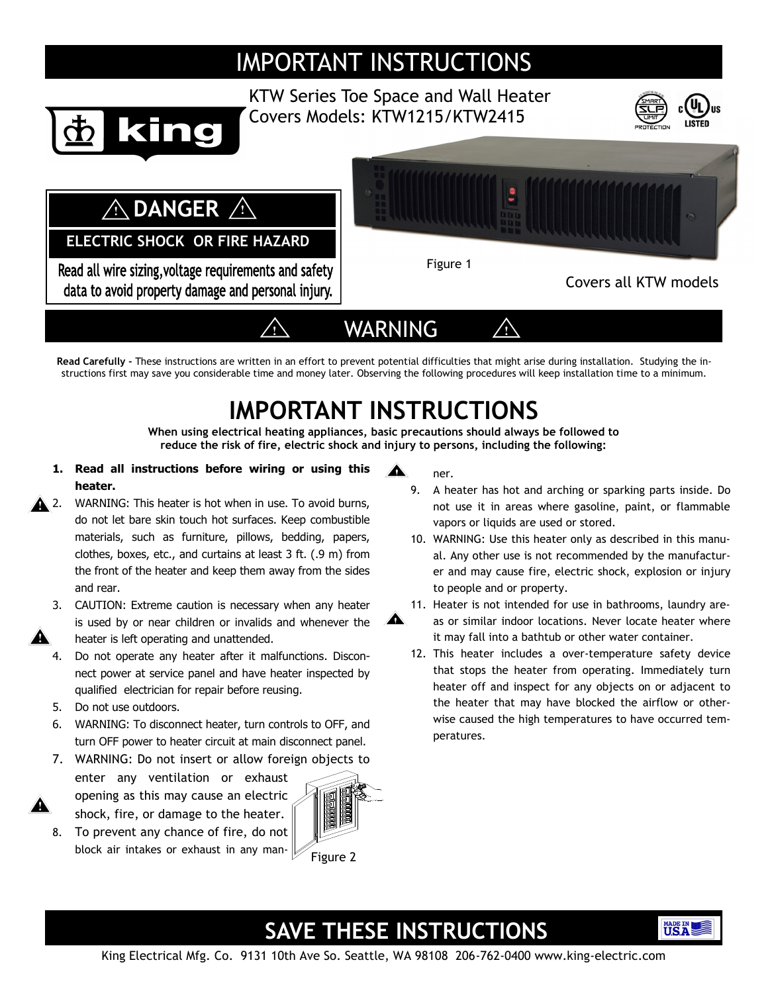# IMPORTANT INSTRUCTIONS

KTW Series Toe Space and Wall Heater Covers Models: KTW1215/KTW2415



# **! DANGER !**

king

 **ELECTRIC SHOCK OR FIRE HAZARD**

Read all wire sizing, voltage requirements and safety data to avoid property damage and personal injury.



## $\hat{H}$  **WARNING**

**Read Carefully -** These instructions are written in an effort to prevent potential difficulties that might arise during installation. Studying the instructions first may save you considerable time and money later. Observing the following procedures will keep installation time to a minimum.

# **IMPORTANT INSTRUCTIONS**

**When using electrical heating appliances, basic precautions should always be followed to reduce the risk of fire, electric shock and injury to persons, including the following:**

**!**

**!**

- **1. Read all instructions before wiring or using this heater.**
- WARNING: This heater is hot when in use. To avoid burns, do not let bare skin touch hot surfaces. Keep combustible materials, such as furniture, pillows, bedding, papers, clothes, boxes, etc., and curtains at least 3 ft. (.9 m) from the front of the heater and keep them away from the sides and rear. **A** 2.
	- 3. CAUTION: Extreme caution is necessary when any heater is used by or near children or invalids and whenever the heater is left operating and unattended.
	- 4. Do not operate any heater after it malfunctions. Disconnect power at service panel and have heater inspected by qualified electrician for repair before reusing.
	- 5. Do not use outdoors.

**!**

**!**

- 6. WARNING: To disconnect heater, turn controls to OFF, and turn OFF power to heater circuit at main disconnect panel.
- 7. WARNING: Do not insert or allow foreign objects to enter any ventilation or exhaust opening as this may cause an electric
- shock, fire, or damage to the heater. 8. To prevent any chance of fire, do not block air intakes or exhaust in any man-



ner.

- 9. A heater has hot and arching or sparking parts inside. Do not use it in areas where gasoline, paint, or flammable vapors or liquids are used or stored.
- 10. WARNING: Use this heater only as described in this manual. Any other use is not recommended by the manufacturer and may cause fire, electric shock, explosion or injury to people and or property.
- 11. Heater is not intended for use in bathrooms, laundry areas or similar indoor locations. Never locate heater where it may fall into a bathtub or other water container.
- 12. This heater includes a over-temperature safety device that stops the heater from operating. Immediately turn heater off and inspect for any objects on or adjacent to the heater that may have blocked the airflow or otherwise caused the high temperatures to have occurred temperatures.

## **SAVE THESE INSTRUCTIONS**



King Electrical Mfg. Co. 9131 10th Ave So. Seattle, WA 98108 206-762-0400 www.king-electric.com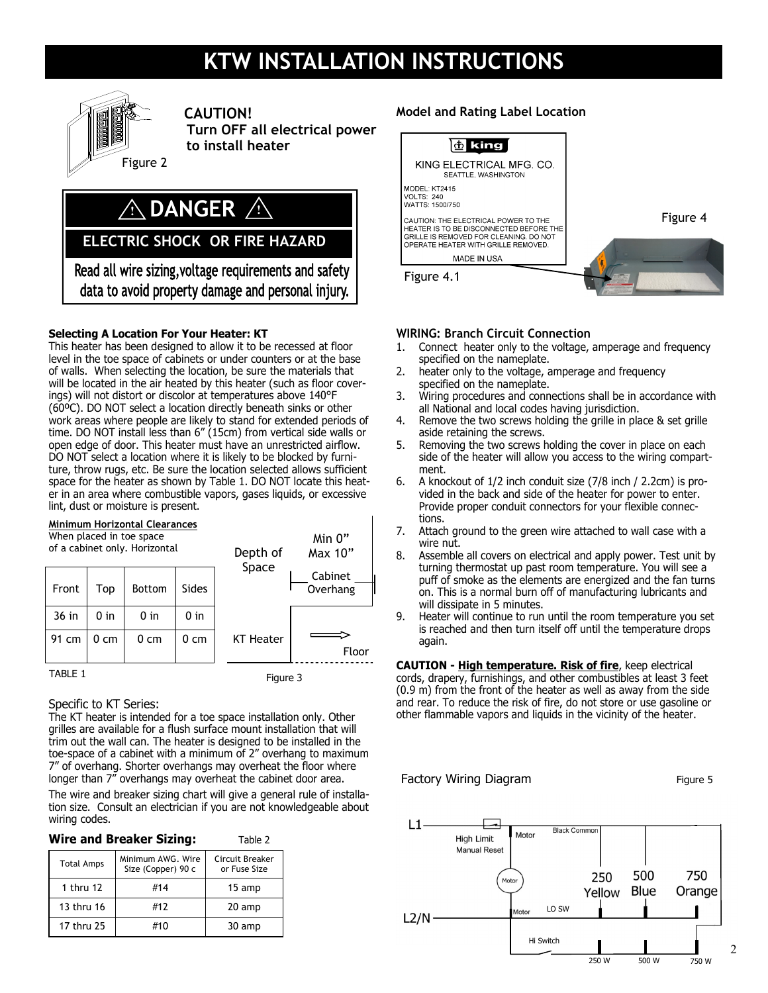# **KTW INSTALLATION INSTRUCTIONS**



#### **CAUTION!**

 **Turn OFF all electrical power to install heater**

Min 0"

Depth of Max 10"

# **! DANGER !**

### **ELECTRIC SHOCK OR FIRE HAZARD**

Read all wire sizing, voltage requirements and safety data to avoid property damage and personal injury.

#### **Selecting A Location For Your Heater: KT**

This heater has been designed to allow it to be recessed at floor level in the toe space of cabinets or under counters or at the base of walls. When selecting the location, be sure the materials that will be located in the air heated by this heater (such as floor coverings) will not distort or discolor at temperatures above 140°F (60ºC). DO NOT select a location directly beneath sinks or other work areas where people are likely to stand for extended periods of time. DO NOT install less than 6" (15cm) from vertical side walls or open edge of door. This heater must have an unrestricted airflow. DO NOT select a location where it is likely to be blocked by furniture, throw rugs, etc. Be sure the location selected allows sufficient space for the heater as shown by Table 1. DO NOT locate this heater in an area where combustible vapors, gases liquids, or excessive lint, dust or moisture is present.

#### **Minimum Horizontal Clearances**

| When placed in toe space      |  |  |
|-------------------------------|--|--|
| of a cabinet only. Horizontal |  |  |
|                               |  |  |



#### Specific to KT Series:

The KT heater is intended for a toe space installation only. Other grilles are available for a flush surface mount installation that will trim out the wall can. The heater is designed to be installed in the toe-space of a cabinet with a minimum of 2" overhang to maximum 7" of overhang. Shorter overhangs may overheat the floor where longer than  $7<sup>π</sup>$  overhangs may overheat the cabinet door area.

The wire and breaker sizing chart will give a general rule of installation size. Consult an electrician if you are not knowledgeable about wiring codes.

#### **Wire and Breaker Sizing:** Table 2

| <b>Total Amps</b> | Minimum AWG. Wire<br>Size (Copper) 90 c | Circuit Breaker<br>or Fuse Size |
|-------------------|-----------------------------------------|---------------------------------|
| 1 thru 12         | #14                                     | 15 amp                          |
| 13 thru 16        | #12                                     | 20 amp                          |
| 17 thru 25        | #10                                     | 30 amp                          |

#### **Model and Rating Label Location**



#### **WIRING: Branch Circuit Connection**

- 1. Connect heater only to the voltage, amperage and frequency specified on the nameplate.
- 2. heater only to the voltage, amperage and frequency specified on the nameplate.
- 3. Wiring procedures and connections shall be in accordance with all National and local codes having jurisdiction.
- 4. Remove the two screws holding the grille in place & set grille aside retaining the screws.
- 5. Removing the two screws holding the cover in place on each side of the heater will allow you access to the wiring compartment.
- 6. A knockout of 1/2 inch conduit size (7/8 inch / 2.2cm) is provided in the back and side of the heater for power to enter. Provide proper conduit connectors for your flexible connections.
- 7. Attach ground to the green wire attached to wall case with a wire nut.
- 8. Assemble all covers on electrical and apply power. Test unit by turning thermostat up past room temperature. You will see a puff of smoke as the elements are energized and the fan turns on. This is a normal burn off of manufacturing lubricants and will dissipate in 5 minutes.
- 9. Heater will continue to run until the room temperature you set is reached and then turn itself off until the temperature drops again.

**CAUTION - High temperature. Risk of fire**, keep electrical cords, drapery, furnishings, and other combustibles at least 3 feet (0.9 m) from the front of the heater as well as away from the side and rear. To reduce the risk of fire, do not store or use gasoline or other flammable vapors and liquids in the vicinity of the heater.

#### Factory Wiring Diagram Figure 5

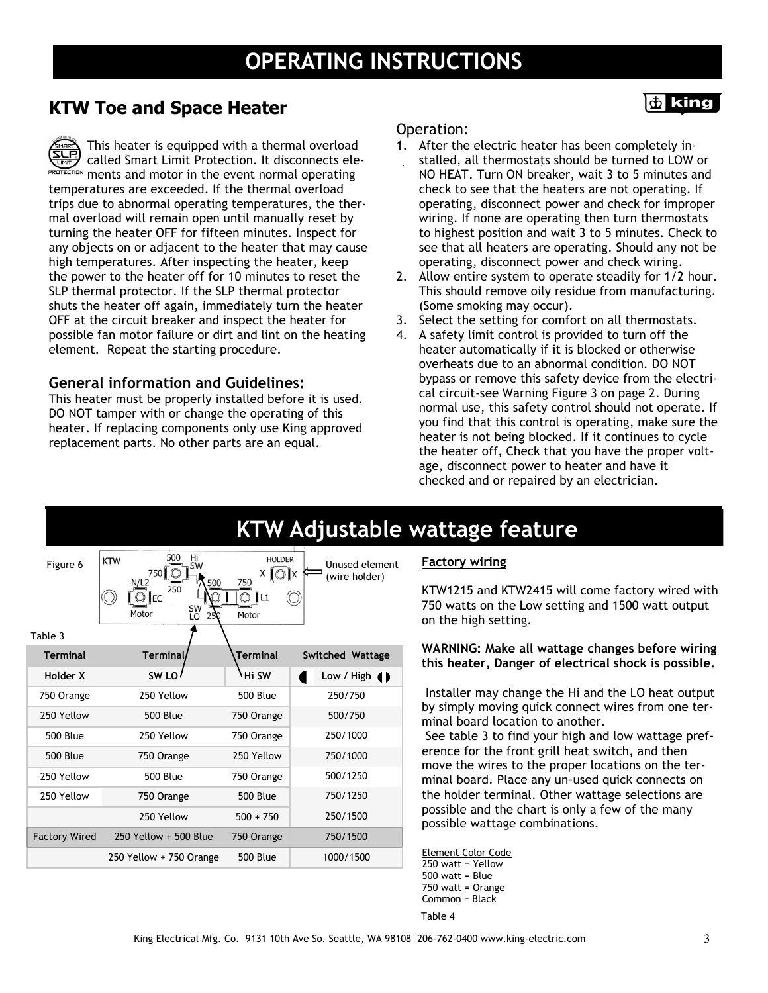### **KTW Toe and Space Heater**



This heater is equipped with a thermal overload called Smart Limit Protection. It disconnects ele-

ments and motor in the event normal operating temperatures are exceeded. If the thermal overload trips due to abnormal operating temperatures, the thermal overload will remain open until manually reset by turning the heater OFF for fifteen minutes. Inspect for any objects on or adjacent to the heater that may cause high temperatures. After inspecting the heater, keep the power to the heater off for 10 minutes to reset the SLP thermal protector. If the SLP thermal protector shuts the heater off again, immediately turn the heater OFF at the circuit breaker and inspect the heater for possible fan motor failure or dirt and lint on the heating element. Repeat the starting procedure.

### **General information and Guidelines:**

This heater must be properly installed before it is used. DO NOT tamper with or change the operating of this heater. If replacing components only use King approved replacement parts. No other parts are an equal.

### Operation:

1. After the electric heater has been completely installed, all thermostats should be turned to LOW or NO HEAT. Turn ON breaker, wait 3 to 5 minutes and check to see that the heaters are not operating. If operating, disconnect power and check for improper wiring. If none are operating then turn thermostats to highest position and wait 3 to 5 minutes. Check to see that all heaters are operating. Should any not be operating, disconnect power and check wiring.

也 king

- 2. Allow entire system to operate steadily for 1/2 hour. This should remove oily residue from manufacturing. (Some smoking may occur).
- 3. Select the setting for comfort on all thermostats.
- 4. A safety limit control is provided to turn off the heater automatically if it is blocked or otherwise overheats due to an abnormal condition. DO NOT bypass or remove this safety device from the electrical circuit-see Warning Figure 3 on page 2. During normal use, this safety control should not operate. If you find that this control is operating, make sure the heater is not being blocked. If it continues to cycle the heater off, Check that you have the proper voltage, disconnect power to heater and have it checked and or repaired by an electrician.

|                      |                                                            |                                  | KTW Adjustable v                |
|----------------------|------------------------------------------------------------|----------------------------------|---------------------------------|
| Figure 6             | 500<br>Hi<br><b>KTW</b><br>≤W<br>750<br>N/L2<br>500<br>250 | <b>HOLDER</b><br>IOx<br>X<br>750 | Unused element<br>(wire holder) |
|                      | EC<br>SW<br>LO<br>Motor<br>250                             | L1<br>Motor                      |                                 |
| Table 3              |                                                            |                                  |                                 |
| <b>Terminal</b>      | <b>Terminal</b>                                            | <b>Terminal</b>                  | Switched Wattage                |
| Holder X             | SW LO                                                      | Hi SW                            | Low / High $\bigoplus$          |
| 750 Orange           | 250 Yellow                                                 | 500 Blue                         | 250/750                         |
| 250 Yellow           | 500 Blue                                                   | 750 Orange                       | 500/750                         |
| 500 Blue             | 250 Yellow                                                 | 750 Orange                       | 250/1000                        |
| 500 Blue             | 750 Orange                                                 | 250 Yellow                       | 750/1000                        |
| 250 Yellow           | 500 Blue                                                   | 750 Orange                       | 500/1250                        |
| 250 Yellow           | 750 Orange                                                 | 500 Blue                         | 750/1250                        |
|                      | 250 Yellow                                                 | $500 + 750$                      | 250/1500                        |
| <b>Factory Wired</b> | 250 Yellow + 500 Blue                                      | 750 Orange                       | 750/1500                        |
|                      | 250 Yellow + 750 Orange                                    | 500 Blue                         | 1000/1500                       |

## wattage feature

#### **Factory wiring**

KTW1215 and KTW2415 will come factory wired with 750 watts on the Low setting and 1500 watt output on the high setting.

#### **WARNING: Make all wattage changes before wiring this heater, Danger of electrical shock is possible.**

Installer may change the Hi and the LO heat output by simply moving quick connect wires from one terminal board location to another.

See table 3 to find your high and low wattage preference for the front grill heat switch, and then move the wires to the proper locations on the terminal board. Place any un-used quick connects on the holder terminal. Other wattage selections are possible and the chart is only a few of the many possible wattage combinations.

Element Color Code 250 watt = Yellow  $500$  watt = Blue 750 watt = Orange Common = Black Table 4